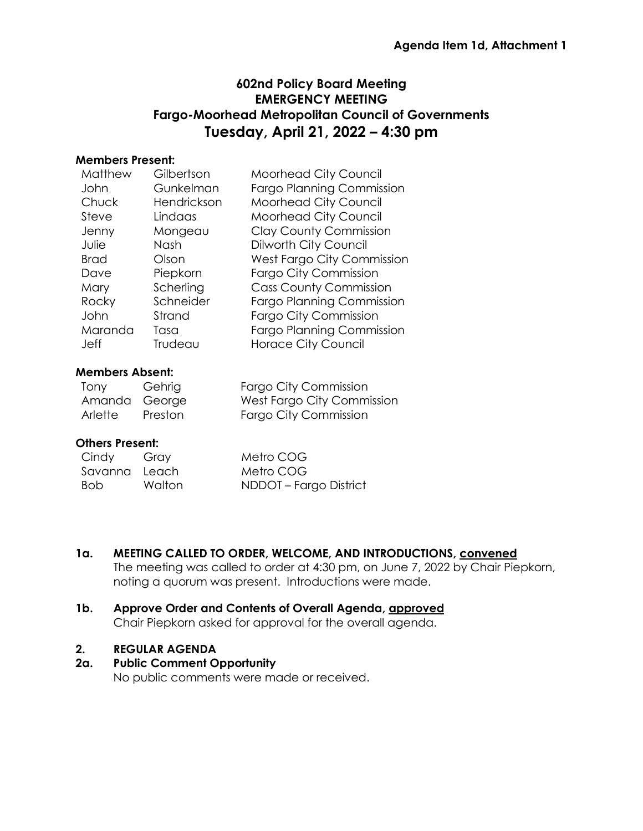# **602nd Policy Board Meeting EMERGENCY MEETING Fargo-Moorhead Metropolitan Council of Governments Tuesday, April 21, 2022 – 4:30 pm**

#### **Members Present:**

| Matthew     | Gilbertson  | <b>Moorhead City Council</b>     |
|-------------|-------------|----------------------------------|
| John        | Gunkelman   | <b>Fargo Planning Commission</b> |
| Chuck       | Hendrickson | Moorhead City Council            |
| Steve       | Lindaas     | Moorhead City Council            |
| Jenny       | Mongeau     | <b>Clay County Commission</b>    |
| Julie       | Nash        | Dilworth City Council            |
| <b>Brad</b> | Olson       | West Fargo City Commission       |
| Dave        | Piepkorn    | <b>Fargo City Commission</b>     |
| Mary        | Scherling   | <b>Cass County Commission</b>    |
| Rocky       | Schneider   | <b>Fargo Planning Commission</b> |
| John        | Strand      | <b>Fargo City Commission</b>     |
| Maranda     | Tasa        | <b>Fargo Planning Commission</b> |
| <b>Jeff</b> | Trudeau     | <b>Horace City Council</b>       |
|             |             |                                  |

## **Members Absent:**

| Tony          | Gehrig  | <b>Fargo City Commission</b> |
|---------------|---------|------------------------------|
| Amanda George |         | West Fargo City Commission   |
| Arlette       | Preston | Fargo City Commission        |

## **Others Present:**

| Cindy         | Gray   | Metro COG              |
|---------------|--------|------------------------|
| Savanna Leach |        | Metro COG              |
| - Bob         | Walton | NDDOT – Fargo District |

## **1a. MEETING CALLED TO ORDER, WELCOME, AND INTRODUCTIONS, convened**

The meeting was called to order at 4:30 pm, on June 7, 2022 by Chair Piepkorn, noting a quorum was present. Introductions were made.

#### **1b. Approve Order and Contents of Overall Agenda, approved** Chair Piepkorn asked for approval for the overall agenda.

#### **2. REGULAR AGENDA**

## **2a. Public Comment Opportunity**

No public comments were made or received.